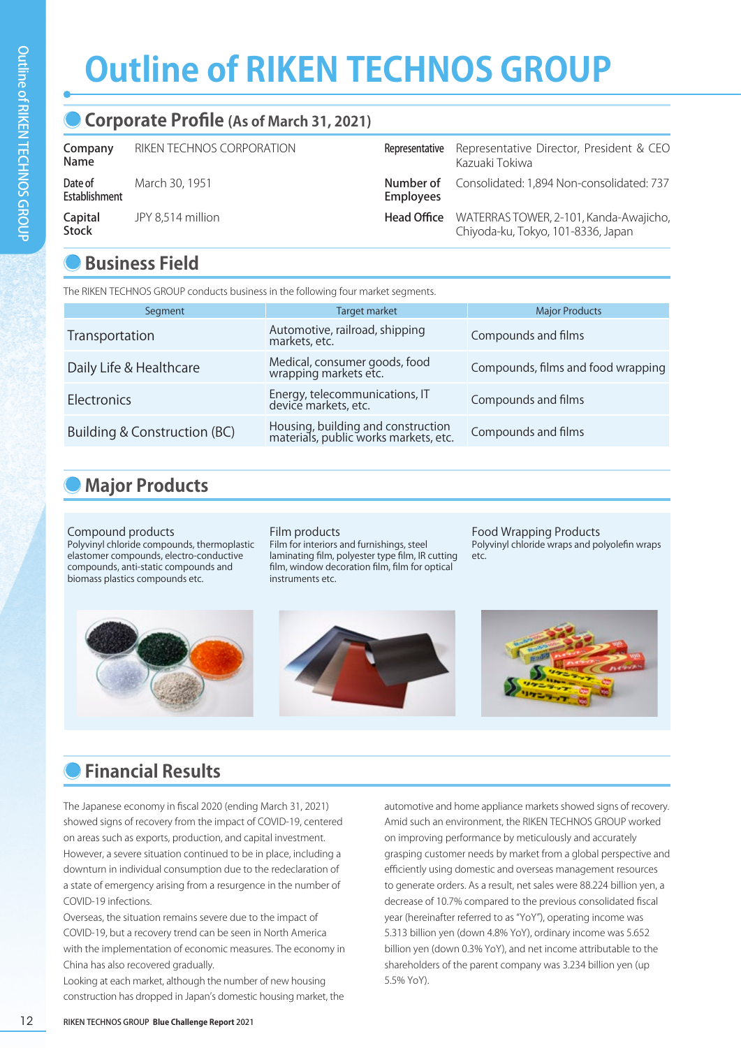# **Outline of RIKEN TECHNOS GROUP**

## **Corporate Profile (As of March 31, 2021)**

| Company<br>Name                 | RIKEN TECHNOS CORPORATION | Representative                | Representative Director, President & CEO<br>Kazuaki Tokiwa                               |
|---------------------------------|---------------------------|-------------------------------|------------------------------------------------------------------------------------------|
| Date of<br><b>Establishment</b> | March 30, 1951            | Number of<br><b>Employees</b> | Consolidated: 1,894 Non-consolidated: 737                                                |
| Capital<br>Stock                | JPY 8,514 million         |                               | Head Office WATERRAS TOWER, 2-101, Kanda-Awajicho,<br>Chiyoda-ku, Tokyo, 101-8336, Japan |

## **Business Field**

The RIKEN TECHNOS GROUP conducts business in the following four market segments.

| Segment                      | Target market                                                               | <b>Major Products</b>              |
|------------------------------|-----------------------------------------------------------------------------|------------------------------------|
| Transportation               | Automotive, railroad, shipping<br>markets, etc.                             | Compounds and films                |
| Daily Life & Healthcare      | Medical, consumer goods, food<br>wrapping markets etc.                      | Compounds, films and food wrapping |
| <b>Electronics</b>           | Energy, telecommunications, IT<br>device markets, etc.                      | Compounds and films                |
| Building & Construction (BC) | Housing, building and construction<br>materials, public works markets, etc. | Compounds and films                |

# **Major Products**

Compound products Polyvinyl chloride compounds, thermoplastic elastomer compounds, electro-conductive compounds, anti-static compounds and biomass plastics compounds etc.

#### Film products

Film for interiors and furnishings, steel laminating film, polyester type film, IR cutting film, window decoration film, film for optical instruments etc.

Food Wrapping Products Polyvinyl chloride wraps and polyolefin wraps  $_{\text{str}}$ 



# **Financial Results**

The Japanese economy in fiscal 2020 (ending March 31, 2021) showed signs of recovery from the impact of COVID-19, centered on areas such as exports, production, and capital investment. However, a severe situation continued to be in place, including a downturn in individual consumption due to the redeclaration of a state of emergency arising from a resurgence in the number of COVID-19 infections.

Overseas, the situation remains severe due to the impact of COVID-19, but a recovery trend can be seen in North America with the implementation of economic measures. The economy in China has also recovered gradually.

Looking at each market, although the number of new housing construction has dropped in Japan's domestic housing market, the

automotive and home appliance markets showed signs of recovery. Amid such an environment, the RIKEN TECHNOS GROUP worked on improving performance by meticulously and accurately grasping customer needs by market from a global perspective and efficiently using domestic and overseas management resources to generate orders. As a result, net sales were 88.224 billion yen, a decrease of 10.7% compared to the previous consolidated fiscal year (hereinafter referred to as "YoY"), operating income was 5.313 billion yen (down 4.8% YoY), ordinary income was 5.652 billion yen (down 0.3% YoY), and net income attributable to the shareholders of the parent company was 3.234 billion yen (up 5.5% YoY).